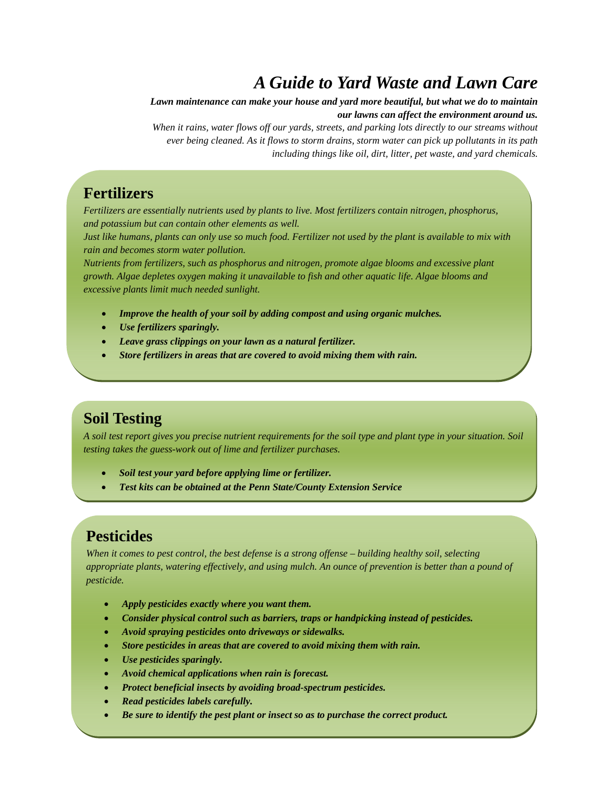# *A Guide to Yard Waste and Lawn Care*

*Lawn maintenance can make your house and yard more beautiful, but what we do to maintain our lawns can affect the environment around us.* 

*When it rains, water flows off our yards, streets, and parking lots directly to our streams without ever being cleaned. As it flows to storm drains, storm water can pick up pollutants in its path including things like oil, dirt, litter, pet waste, and yard chemicals.* 

#### **Fertilizers**

*Fertilizers are essentially nutrients used by plants to live. Most fertilizers contain nitrogen, phosphorus, and potassium but can contain other elements as well.* 

*Just like humans, plants can only use so much food. Fertilizer not used by the plant is available to mix with rain and becomes storm water pollution.* 

*Nutrients from fertilizers, such as phosphorus and nitrogen, promote algae blooms and excessive plant growth. Algae depletes oxygen making it unavailable to fish and other aquatic life. Algae blooms and excessive plants limit much needed sunlight.* 

- *Improve the health of your soil by adding compost and using organic mulches.*
- *Use fertilizers sparingly.*
- *Leave grass clippings on your lawn as a natural fertilizer.*
- *Store fertilizers in areas that are covered to avoid mixing them with rain.*

## **Soil Testing**

*A soil test report gives you precise nutrient requirements for the soil type and plant type in your situation. Soil testing takes the guess-work out of lime and fertilizer purchases.* 

- *Soil test your yard before applying lime or fertilizer.*
- *Test kits can be obtained at the Penn State/County Extension Service*

## **Pesticides**

*When it comes to pest control, the best defense is a strong offense – building healthy soil, selecting appropriate plants, watering effectively, and using mulch. An ounce of prevention is better than a pound of pesticide.* 

- *Apply pesticides exactly where you want them.*
- *Consider physical control such as barriers, traps or handpicking instead of pesticides.*
- *Avoid spraying pesticides onto driveways or sidewalks.*
- *Store pesticides in areas that are covered to avoid mixing them with rain.*
- *Use pesticides sparingly.*
- *Avoid chemical applications when rain is forecast.*
- *Protect beneficial insects by avoiding broad-spectrum pesticides.*
- *Read pesticides labels carefully.*
- *Be sure to identify the pest plant or insect so as to purchase the correct product.*